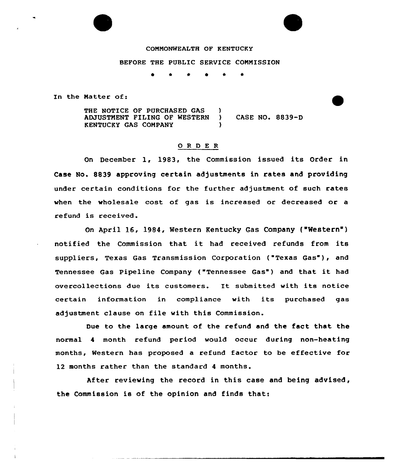## COMMONWEALTH OF KENTUCKY

## BEFORE THE PUBLIC SERVICE COMMISSION

<sup>~</sup> \* \* <sup>~</sup> \*

In the Matter of:

THE NOTICE OF PURCHASED GAS )<br>ADJUSTMENT FILING OF WESTERN ) ADJUSTMENT FILING OF WESTERN ) CASE NO. 8839-D KENTUCKY GAS COMPANY )

## 0 <sup>R</sup> <sup>D</sup> E <sup>R</sup>

On December 1, 1983, the Commission issued its Order in Case No. 8839 approving certain adjustments in rates and providing under certain conditions for the further adjustment of such rates when the wholesale cost of gas is increased or decreased or a refund is received.

On April 16, 1984, Western Kentucky Gas Company ("Western" ) notified the Commission that it had received refunds from its suppliers, Texas Gas Transmission Corporation ("Texas Gas"), and Tennessee Gas Pipeline Company ("Tennessee Gas") and that it had overcollections due its customers. It submitted with its notice certain information in compliance with its purchased gas adjustment clause on file with this Commission.

Due to the large amount of the refund and the fact that the normal 4 month refund period would occur during non-heating months, Western has proposed a refund factor to be effective for 12 months rather than the standard <sup>4</sup> months.

After reviewing the record in this case and being advised, the Commission is of the opinion and finds that: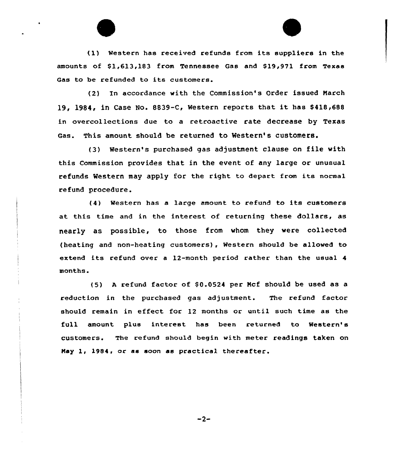(1) Western has received refunds from its suppliers in the amounts of \$1,613,183 from Tennessee Gas and \$19,971 from Texas Gas to be refunded to its customers.

(2) In accordance with the Commission's Order issued Narch 19, 1984, in Case No. 8839-C, Western reports that it has \$ 418,688 in overcollections due to a retroactive rate decrease by Texas Gas. This amount should be returned to Western's customers.

(3) Western's purchased gas adjustment clause on file with this Commission provides that in the event of any large or unusual refunds Western may apply for the right to depart from its normal refund procedure.

(4) Western has <sup>a</sup> large amount to refund to its customers at this time and in the interest of returning these dollars, as nearly as possible, to those from whom they were collected (heating and non-heating customers), Western should be allowed to extend its refund over <sup>a</sup> 12-month period rather than the usual <sup>4</sup> months.

(5) A refund factor of \$0.0524 per Mcf should be used as a reduction in the purchased gas adjustment. The refund factor should remain in effect for 12 months or until such time as the full amount plus interest has been returned to Western's customers. The refund should begin with meter readings taken on Nay 1< 1984, or as soon as practical thereafter.

 $-2-$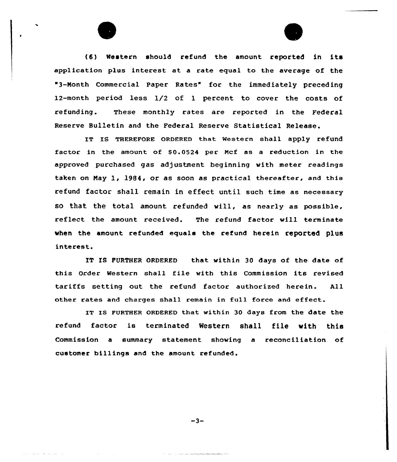(6) Western should refund the amount reported in its application plus interest at a rate equal to the average of the '3-Month Commercial Paper Rates" for the immediately preceding 12-month period less 1/2 of 1 percent to cover the costs of refunding. These monthly rates are reported in the Federal Reserve Bulletin and the Federal Reserve Statistical Release.

IT IS THEREFoRE oRDERED that western shall apply refund factor in the amount of \$0.0524 per Mcf as a reduction in the approved purchased gas adjustment beginning with meter readings taken on Nay 1, 1984, or as soon as practical thereafter, and this refund factor shall remain in effect until such time as necessary so that the total amount refunded will, as nearly as possible, reflect the amount received. The refund factor will terminate when the amount eefunded equals the refund herein reported plus interest.

IT IS FURTHER ORDERED that within 30 days of the date of this Order Western shall file with this Commission its revised tariffs setting out the refund factor authorized herein. All other eates and charges shall remain in full force and effect.

IT Is FURTHER oRDERED that within 30 days from the date the refund factor is terminated Western shall file with this Commission a summary statement showing a reconciliation of customer billings and the amount refunded.

 $-3-$